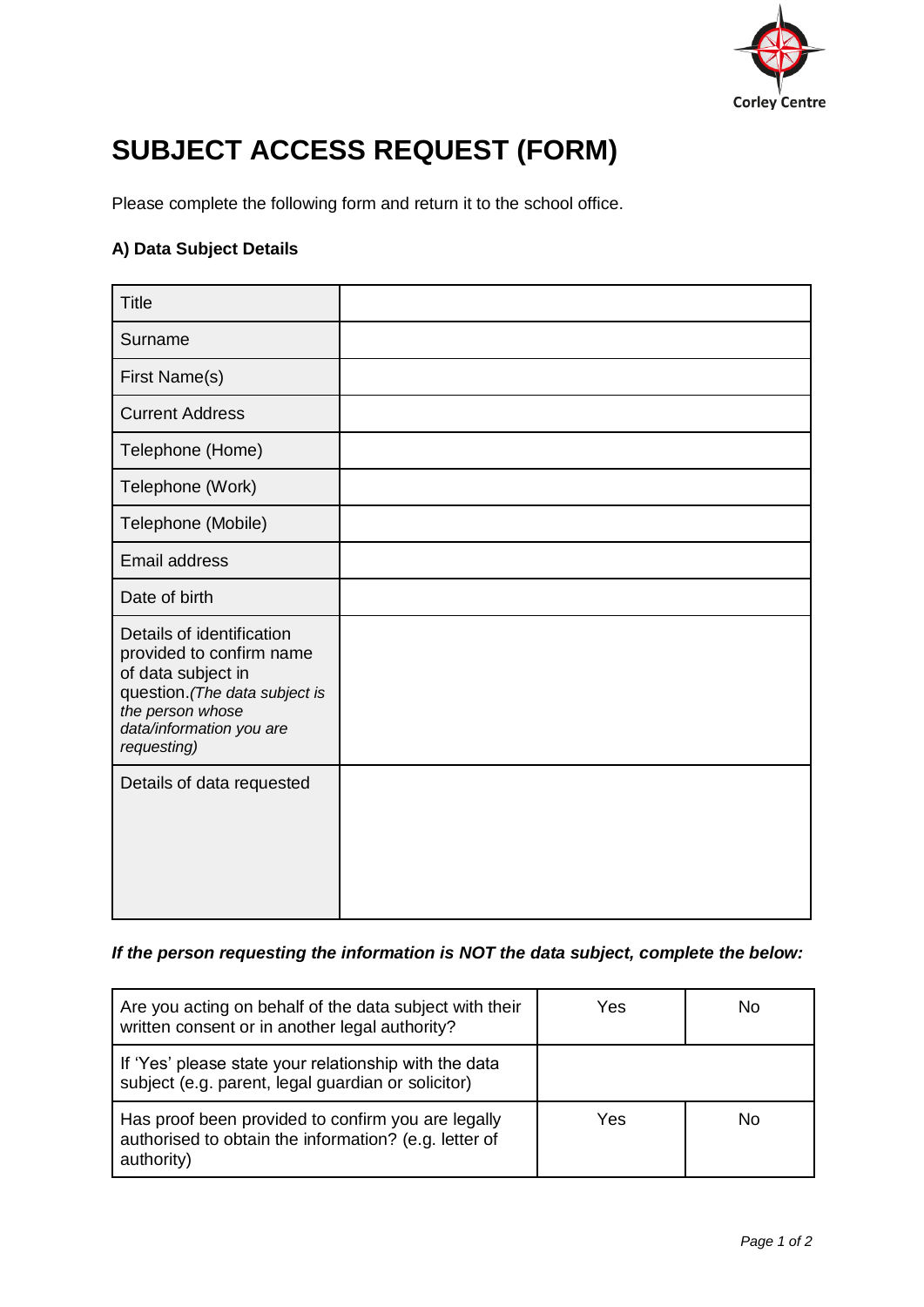

## **SUBJECT ACCESS REQUEST (FORM)**

Please complete the following form and return it to the school office.

## **A) Data Subject Details**

| <b>Title</b>                                                                                                                                                                 |  |
|------------------------------------------------------------------------------------------------------------------------------------------------------------------------------|--|
| Surname                                                                                                                                                                      |  |
| First Name(s)                                                                                                                                                                |  |
| <b>Current Address</b>                                                                                                                                                       |  |
| Telephone (Home)                                                                                                                                                             |  |
| Telephone (Work)                                                                                                                                                             |  |
| Telephone (Mobile)                                                                                                                                                           |  |
| <b>Email address</b>                                                                                                                                                         |  |
| Date of birth                                                                                                                                                                |  |
| Details of identification<br>provided to confirm name<br>of data subject in<br>question. (The data subject is<br>the person whose<br>data/information you are<br>requesting) |  |
| Details of data requested                                                                                                                                                    |  |

## *If the person requesting the information is NOT the data subject, complete the below:*

| Are you acting on behalf of the data subject with their<br>written consent or in another legal authority?                 | Yes | No  |
|---------------------------------------------------------------------------------------------------------------------------|-----|-----|
| If 'Yes' please state your relationship with the data<br>subject (e.g. parent, legal guardian or solicitor)               |     |     |
| Has proof been provided to confirm you are legally<br>authorised to obtain the information? (e.g. letter of<br>authority) | Yes | No. |